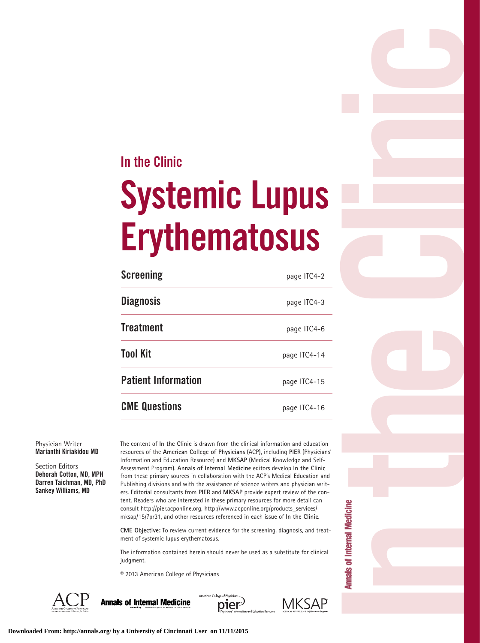# **In the Clinic Systemic Lupus Erythematosus**

| <b>Screening</b>           | page ITC4-2  |
|----------------------------|--------------|
| <b>Diagnosis</b>           | page ITC4-3  |
| Treatment                  | page ITC4-6  |
| Tool Kit                   | page ITC4-14 |
| <b>Patient Information</b> | page ITC4-15 |
| <b>CME Questions</b>       | page ITC4-16 |

Physician Writer **Marianthi Kiriakidou MD**

Section Editors **Deborah Cotton, MD, MPH Darren Taichman, MD, PhD Sankey Williams, MD**

The content of **In the Clinic** is drawn from the clinical information and education resources of the **American College of Physicians** (ACP), including **PIER** (Physicians' Information and Education Resource) and **MKSAP** (Medical Knowledge and Self-Assessment Program). **Annals of Internal Medicine** editors develop **In the Clinic** from these primary sources in collaboration with the ACP's Medical Education and Publishing divisions and with the assistance of science writers and physician writers. Editorial consultants from **PIER** and **MKSAP** provide expert review of the content. Readers who are interested in these primary resources for more detail can consult http://pier.acponline.org, http://www.acponline.org/products\_services/ mksap/15/?pr31, and other resources referenced in each issue of **In the Clinic**.

**CME Objective:** To review current evidence for the screening, diagnosis, and treatment of systemic lupus erythematosus.

The information contained herein should never be used as a substitute for clinical judgment.

© 2013 American College of Physicians



**Annals of Internal Medicine** 





**In theClinic**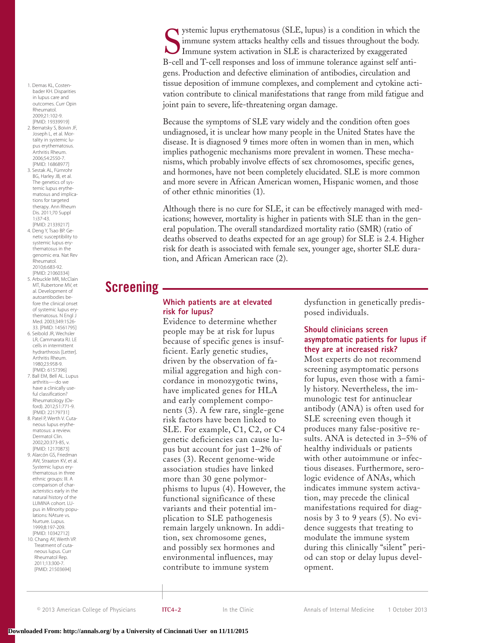1. Demas KL, Costenbader KH. Disparities in lupus care and outcomes. Curr Opin Rheumatol. 2009;21:102-9. [PMID: 19339919]

- 2. Bernatsky S, Boivin JF, Joseph L, et al. Mortality in systemic lupus erythematosus. Arthritis Rheum. 2006;54:2550-7. [PMID: 16868977]
- 3. Sestak AL, Fürnrohr BG, Harley JB, et al. The genetics of systemic lupus erythematosus and implications for targeted therapy. Ann Rheum Dis. 2011;70 Suppl 1:i37-43. [PMID: 21339217]
- 4. Deng Y, Tsao BP. Genetic susceptibility to systemic lupus erythematosus in the genomic era. Nat Rev Rheumatol. 2010;6:683-92. [PMID: 21060334]
- 5. Arbuckle MR, McClain MT, Rubertone MV, et al. Development of autoantibodies before the clinical onset of systemic lupus erythematosus. N Engl J Med. 2003;349:1526- 33. [PMID: 14561795]
- 6. Seibold JR, Wechsler LR, Cammarata RJ. LE cells in intermittent hydrarthrosis [Letter]. Arthritis Rheum. 1980;23:958-9. [PMID: 6157396]
- 7. Ball EM, Bell AL. Lupus arthritis—-do we have a clinically useful classification? Rheumatology (Oxford). 2012;51:771-9. [PMID: 22179731] 8. Patel P, Werth V. Cuta-
- neous lupus erythematosus: a review. Dermatol Clin. 2002;20:373-85, v. [PMID: 12170873]
- 9. Alarcón GS, Friedman AW, Straaton KV, et al. Systemic lupus erythematosus in three ethnic groups: III. A comparison of characteristics early in the natural history of the LUMINA cohort. LUpus in MInority populations: NAture vs. Nurture. Lupus. 1999;8:197-209. [PMID: 10342712]
- 10. Chang AY, Werth VP. Treatment of cutaneous lupus. Curr Rheumatol Rep. 2011;13:300-7. [PMID: 21503694]

SULE, HOUSE, HOUSE, SEE, HOUSE AND THE MOVIET CHE IS A CONDUCTED IMPLIED IMPLIED IMPLIED IMPLIED IMPLIED IMPLIED IMPLIED IMPLIED IMPLIED IMPLIED IMPLIED IMPLIED IMPLIED IMPLIED IMPLIED IMPLIED IMPLIED IMPLIED IMPLIED IMPLI ystemic lupus erythematosus (SLE, lupus) is a condition in which the immune system attacks healthy cells and tissues throughout the body. Immune system activation in SLE is characterized by exaggerated gens. Production and defective elimination of antibodies, circulation and tissue deposition of immune complexes, and complement and cytokine activation contribute to clinical manifestations that range from mild fatigue and joint pain to severe, life-threatening organ damage.

Because the symptoms of SLE vary widely and the condition often goes undiagnosed, it is unclear how many people in the United States have the disease. It is diagnosed 9 times more often in women than in men, which implies pathogenic mechanisms more prevalent in women. These mechanisms, which probably involve effects of sex chromosomes, specific genes, and hormones, have not been completely elucidated. SLE is more common and more severe in African American women, Hispanic women, and those of other ethnic minorities (1).

Although there is no cure for SLE, it can be effectively managed with medications; however, mortality is higher in patients with SLE than in the general population. The overall standardized mortality ratio (SMR) (ratio of deaths observed to deaths expected for an age group) for SLE is 2.4. Higher risk for death is associated with female sex, younger age, shorter SLE duration, and African American race (2).

## **Screening**

#### **Which patients are at elevated risk for lupus?**

Evidence to determine whether people may be at risk for lupus because of specific genes is insufficient. Early genetic studies, driven by the observation of familial aggregation and high concordance in monozygotic twins, have implicated genes for HLA and early complement components (3). A few rare, single-gene risk factors have been linked to SLE. For example, C1, C2, or C4 genetic deficiencies can cause lupus but account for just 1–2% of cases (3). Recent genome-wide association studies have linked more than 30 gene polymorphisms to lupus (4). However, the functional significance of these variants and their potential implication to SLE pathogenesis remain largely unknown. In addition, sex chromosome genes, and possibly sex hormones and environmental influences, may contribute to immune system

dysfunction in genetically predisposed individuals.

#### **Should clinicians screen asymptomatic patients for lupus if they are at increased risk?**

Most experts do not recommend screening asymptomatic persons for lupus, even those with a family history. Nevertheless, the immunologic test for antinuclear antibody (ANA) is often used for SLE screening even though it produces many false-positive results. ANA is detected in 3–5% of healthy individuals or patients with other autoimmune or infectious diseases. Furthermore, serologic evidence of ANAs, which indicates immune system activation, may precede the clinical manifestations required for diagnosis by 3 to 9 years (5). No evidence suggests that treating to modulate the immune system during this clinically "silent" period can stop or delay lupus development.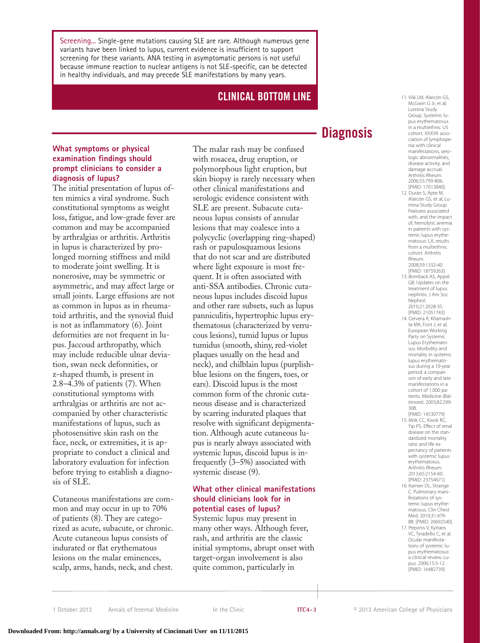Screening... Single-gene mutations causing SLE are rare. Although numerous gene variants have been linked to lupus, current evidence is insufficient to support screening for these variants. ANA testing in asymptomatic persons is not useful because immune reaction to nuclear antigens is not SLE-specific, can be detected in healthy individuals, and may precede SLE manifestations by many years.

## **CLINICAL BOTTOM LINE**

#### **What symptoms or physical examination findings should prompt clinicians to consider a diagnosis of lupus?**

The initial presentation of lupus often mimics a viral syndrome. Such constitutional symptoms as weight loss, fatigue, and low-grade fever are common and may be accompanied by arthralgias or arthritis. Arthritis in lupus is characterized by prolonged morning stiffness and mild to moderate joint swelling. It is nonerosive, may be symmetric or asymmetric, and may affect large or small joints. Large effusions are not as common in lupus as in rheumatoid arthritis, and the synovial fluid is not as inflammatory (6). Joint deformities are not frequent in lupus. Jaccoud arthropathy, which may include reducible ulnar deviation, swan neck deformities, or z-shaped thumb, is present in 2.8–4.3% of patients (7). When constitutional symptoms with arthralgias or arthritis are not accompanied by other characteristic manifestations of lupus, such as photosensitive skin rash on the face, neck, or extremities, it is appropriate to conduct a clinical and laboratory evaluation for infection before trying to establish a diagnosis of SLE.

Cutaneous manifestations are common and may occur in up to 70% of patients (8). They are categorized as acute, subacute, or chronic. Acute cutaneous lupus consists of indurated or flat erythematous lesions on the malar eminences, scalp, arms, hands, neck, and chest.

The malar rash may be confused with rosacea, drug eruption, or polymorphous light eruption, but skin biopsy is rarely necessary when other clinical manifestations and serologic evidence consistent with SLE are present. Subacute cutaneous lupus consists of annular lesions that may coalesce into a polycyclic (overlapping ring-shaped) rash or papulosquamous lesions that do not scar and are distributed where light exposure is most frequent. It is often associated with anti-SSA antibodies. Chronic cutaneous lupus includes discoid lupus and other rare subsets, such as lupus panniculitis, hypertrophic lupus erythematosus (characterized by verrucous lesions), tumid lupus or lupus tumidus (smooth, shiny, red-violet plaques usually on the head and neck), and chilblain lupus (purplishblue lesions on the fingers, toes, or ears). Discoid lupus is the most common form of the chronic cutaneous disease and is characterized by scarring indurated plaques that resolve with significant depigmentation. Although acute cutaneous lupus is nearly always associated with systemic lupus, discoid lupus is infrequently (3–5%) associated with systemic disease (9).

#### **What other clinical manifestations should clinicians look for in potential cases of lupus?**

Systemic lupus may present in many other ways. Although fever, rash, and arthritis are the classic initial symptoms, abrupt onset with target-organ involvement is also quite common, particularly in

#### 11. Vilá LM, Alarcón GS, McGwin G Jr, et al; Lumina Study Group. Systemic lupus erythematosus in a multiethnic US cohort, XXXVII: association of lymphopenia with clinical manifestations, serologic abnormalities, disease activity, and damage accrual.

**Diagnosis**

[PMID: 17013840] 12. Durán S, Apte M, Alarcón GS, et al; Lumina Study Group. Features associated with, and the impact of, hemolytic anemia in patients with systemic lupus erythematosus: LX, results from a multiethnic cohort. Arthritis Rheum. 2008;59:1332-40. [PMID: 18759263]

Arthritis Rheum. 2006;55:799-806.

- 13. Bomback AS, Appel GB. Updates on the treatment of lupus nephritis. J Am Soc Nephrol. 2010;21:2028-35.
- [PMID: 21051743] 14. Cervera R, Khamashta MA, Font J, et al; European Working Party on Systemic Lupus Erythematosus. Morbidity and mortality in systemic lupus erythematosus during a 10-year period: a comparison of early and late manifestations in a cohort of 1,000 patients. Medicine (Baltimore). 2003;82:299- 308. [PMID: 14530779]
- 15. Mok CC, Kwok RC, Yip PS. Effect of renal disease on the standardized mortality ratio and life expectancy of patients with systemic lupus erythematosus. Arthritis Rheum. 2013;65:2154-60. [PMID: 23754671]
- 16. Kamen DL, Strange C. Pulmonary manifestations of systemic lupus erythematosus. Clin Chest Med. 2010;31:479- 88. [PMID: 20692540]
- 17. Peponis V, Kyttaris VC, Tyradellis C, et al. Ocular manifestations of systemic lupus erythematosus: a clinical review. Lupus. 2006;15:3-12. [PMID: 16482739]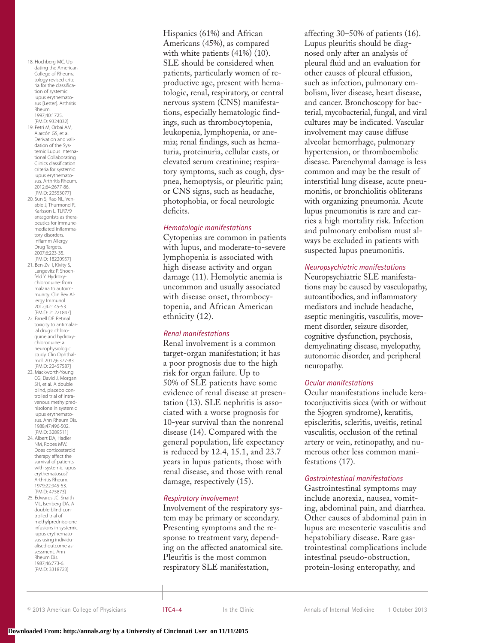18. Hochberg MC. Updating the American College of Rheumatology revised criteria for the classification of systemic lupus erythematosus [Letter]. Arthritis Rheum. 1997;40:1725. [PMID: 9324032]

19. Petri M, Orbai AM, Alarcón GS, et al. Derivation and validation of the Systemic Lupus International Collaborating Clinics classification criteria for systemic lupus erythematosus. Arthritis Rheum. 2012;64:2677-86. [PMID: 22553077] 20. Sun S, Rao NL, Venable J, Thurmond R, Karlsson L. TLR7/9

antagonists as therapeutics for immunemediated inflammatory disorders. Inflamm Allergy Drug Targets. 2007;6:223-35. [PMID: 18220957]

- 21. Ben-Zvi I, Kivity S, Langevitz P, Shoenfeld Y. Hydroxychloroquine: from malaria to autoimmunity. Clin Rev Allergy Immunol. 2012;42:145-53. [PMID: 21221847]
- 22. Farrell DF. Retinal toxicity to antimalarial drugs: chloroquine and hydroxychloroquine: a neurophysiologic study. Clin Ophthal-mol. 2012;6:377-83. [PMID: 22457587]
- 23. Mackworth-Young CG, David J, Morgan SH, et al. A double blind, placebo controlled trial of intravenous methylprednisolone in systemic lupus erythematosus. Ann Rheum Dis. 1988;47:496-502. [PMID: 3289511] 24. Albert DA, Hadler NM, Ropes MW. Does corticosteroid
- therapy affect the survival of patients with systemic lupus erythematosus? Arthritis Rheum. 1979;22:945-53. [PMID: 475873]

25. Edwards JC, Snaith ML, Isenberg DA. A double blind controlled trial of methylprednisolone infusions in systemic lupus erythematosus using individualised outcome assessment. Ann Rheum Dis. 1987;46:773-6. [PMID: 3318723]

Hispanics (61%) and African Americans (45%), as compared with white patients  $(41%) (10)$ . SLE should be considered when patients, particularly women of reproductive age, present with hematologic, renal, respiratory, or central nervous system (CNS) manifestations, especially hematologic findings, such as thrombocytopenia, leukopenia, lymphopenia, or anemia; renal findings, such as hematuria, proteinuria, cellular casts, or elevated serum creatinine; respiratory symptoms, such as cough, dyspnea, hemoptysis, or pleuritic pain; or CNS signs, such as headache, photophobia, or focal neurologic deficits.

#### *Hematologic manifestations*

Cytopenias are common in patients with lupus, and moderate-to-severe lymphopenia is associated with high disease activity and organ damage (11). Hemolytic anemia is uncommon and usually associated with disease onset, thrombocytopenia, and African American ethnicity (12).

#### *Renal manifestations*

Renal involvement is a common target-organ manifestation; it has a poor prognosis due to the high risk for organ failure. Up to 50% of SLE patients have some evidence of renal disease at presentation (13). SLE nephritis is associated with a worse prognosis for 10-year survival than the nonrenal disease (14). Compared with the general population, life expectancy is reduced by 12.4, 15.1, and 23.7 years in lupus patients, those with renal disease, and those with renal damage, respectively (15).

#### *Respiratory involvement*

Involvement of the respiratory system may be primary or secondary. Presenting symptoms and the response to treatment vary, depending on the affected anatomical site. Pleuritis is the most common respiratory SLE manifestation,

affecting 30–50% of patients (16). Lupus pleuritis should be diagnosed only after an analysis of pleural fluid and an evaluation for other causes of pleural effusion, such as infection, pulmonary embolism, liver disease, heart disease, and cancer. Bronchoscopy for bacterial, mycobacterial, fungal, and viral cultures may be indicated. Vascular involvement may cause diffuse alveolar hemorrhage, pulmonary hypertension, or thromboembolic disease. Parenchymal damage is less common and may be the result of interstitial lung disease, acute pneumonitis, or bronchiolitis obliterans with organizing pneumonia. Acute lupus pneumonitis is rare and carries a high mortality risk. Infection and pulmonary embolism must always be excluded in patients with suspected lupus pneumonitis.

#### *Neuropsychiatric manifestations*

Neuropsychiatric SLE manifestations may be caused by vasculopathy, autoantibodies, and inflammatory mediators and include headache, aseptic meningitis, vasculitis, movement disorder, seizure disorder, cognitive dysfunction, psychosis, demyelinating disease, myelopathy, autonomic disorder, and peripheral neuropathy.

#### *Ocular manifestations*

Ocular manifestations include keratoconjuctivitis sicca (with or without the Sjogren syndrome), keratitis, episcleritis, scleritis, uveitis, retinal vasculitis, occlusion of the retinal artery or vein, retinopathy, and numerous other less common manifestations (17).

#### *Gastrointestinal manifestations*

Gastrointestinal symptoms may include anorexia, nausea, vomiting, abdominal pain, and diarrhea. Other causes of abdominal pain in lupus are mesenteric vasculitis and hepatobiliary disease. Rare gastrointestinal complications include intestinal pseudo-obstruction, protein-losing enteropathy, and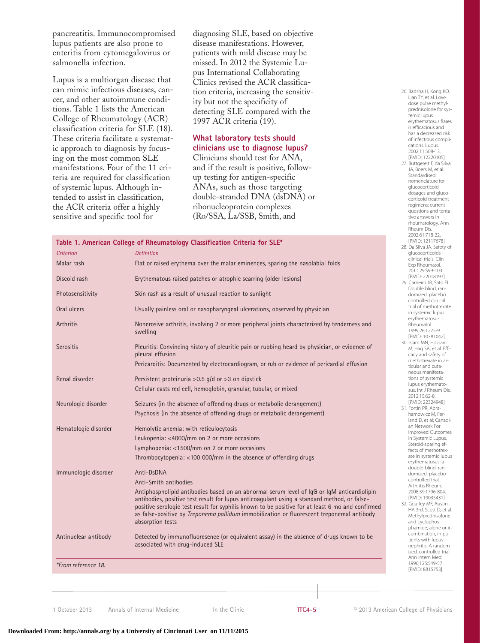pancreatitis. Immunocompromised lupus patients are also prone to enteritis from cytomegalovirus or salmonella infection.

Lupus is a multiorgan disease that can mimic infectious diseases, cancer, and other autoimmune conditions. Table 1 lists the American College of Rheumatology (ACR) classification criteria for SLE (18). These criteria facilitate a systematic approach to diagnosis by focusing on the most common SLE manifestations. Four of the 11 criteria are required for classification of systemic lupus. Although intended to assist in classification, the ACR criteria offer a highly sensitive and specific tool for

diagnosing SLE, based on objective disease manifestations. However, patients with mild disease may be missed. In 2012 the Systemic Lupus International Collaborating Clinics revised the ACR classification criteria, increasing the sensitivity but not the specificity of detecting SLE compared with the 1997 ACR criteria (19).

#### **What laboratory tests should clinicians use to diagnose lupus?**

Clinicians should test for ANA, and if the result is positive, followup testing for antigen-specific ANAs, such as those targeting double-stranded DNA (dsDNA) or ribonucleoprotein complexes (Ro/SSA, La/SSB, Smith, and

| Criterion            | Table 1. American College of Rheumatology Classification Criteria for SLE*<br><b>Definition</b>                                                                                                                                                                                                                                                                                                                |  |  |
|----------------------|----------------------------------------------------------------------------------------------------------------------------------------------------------------------------------------------------------------------------------------------------------------------------------------------------------------------------------------------------------------------------------------------------------------|--|--|
| Malar rash           | Flat or raised erythema over the malar eminences, sparing the nasolabial folds                                                                                                                                                                                                                                                                                                                                 |  |  |
| Discoid rash         | Erythematous raised patches or atrophic scarring (older lesions)                                                                                                                                                                                                                                                                                                                                               |  |  |
| Photosensitivity     | Skin rash as a result of unusual reaction to sunlight                                                                                                                                                                                                                                                                                                                                                          |  |  |
| Oral ulcers          | Usually painless oral or nasopharyngeal ulcerations, observed by physician                                                                                                                                                                                                                                                                                                                                     |  |  |
| Arthritis            | Nonerosive arthritis, involving 2 or more peripheral joints characterized by tenderness and<br>swelling                                                                                                                                                                                                                                                                                                        |  |  |
| <b>Serositis</b>     | Pleuritis: Convincing history of pleuritic pain or rubbing heard by physician, or evidence of<br>pleural effusion                                                                                                                                                                                                                                                                                              |  |  |
|                      | Pericarditis: Documented by electrocardiogram, or rub or evidence of pericardial effusion                                                                                                                                                                                                                                                                                                                      |  |  |
| Renal disorder       | Persistent proteinuria > 0.5 $q/d$ or > 3 on dipstick<br>Cellular casts red cell, hemoglobin, granular, tubular, or mixed                                                                                                                                                                                                                                                                                      |  |  |
| Neurologic disorder  | Seizures (in the absence of offending drugs or metabolic derangement)<br>Psychosis (in the absence of offending drugs or metabolic derangement)                                                                                                                                                                                                                                                                |  |  |
| Hematologic disorder | Hemolytic anemia: with reticulocytosis                                                                                                                                                                                                                                                                                                                                                                         |  |  |
|                      | Leukopenia: <4000/mm on 2 or more occasions                                                                                                                                                                                                                                                                                                                                                                    |  |  |
|                      | Lymphopenia: <1500/mm on 2 or more occasions                                                                                                                                                                                                                                                                                                                                                                   |  |  |
|                      | Thrombocytopenia: <100 000/mm in the absence of offending drugs                                                                                                                                                                                                                                                                                                                                                |  |  |
| Immunologic disorder | Anti-DsDNA                                                                                                                                                                                                                                                                                                                                                                                                     |  |  |
|                      | Anti-Smith antibodies                                                                                                                                                                                                                                                                                                                                                                                          |  |  |
|                      | Antiphospholipid antibodies based on an abnormal serum level of IqG or IqM anticardiolipin<br>antibodies, positive test result for lupus anticoagulant using a standard method, or false-<br>positive serologic test result for syphilis known to be positive for at least 6 mo and confirmed<br>as false-positive by Treponema pallidum immobilization or fluorescent treponemal antibody<br>absorption tests |  |  |
| Antinuclear antibody | Detected by immunofluoresence (or equivalent assay) in the absence of drugs known to be<br>associated with drug-induced SLE                                                                                                                                                                                                                                                                                    |  |  |
| *From reference 18.  |                                                                                                                                                                                                                                                                                                                                                                                                                |  |  |
|                      |                                                                                                                                                                                                                                                                                                                                                                                                                |  |  |
|                      |                                                                                                                                                                                                                                                                                                                                                                                                                |  |  |

26. Badsha H, Kong KO, Lian TY, et al. Lowdose pulse methylprednisolone for sys-.<br>temic lupus erythematosus flares is efficacious and has a decreased risk of infectious complications. Lupus. 2002;11:508-13. [PMID: 12220105] 27. Buttgereit F, da Silva JA, Boers M, et al. Standardised nomenclature for glucocorticoid dosages and glucocorticoid treatment regimens: current questions and tentative answers in rheumatology. Ann Rheum Dis. 2002;61:718-22. [PMID: 12117678] 28. Da Silva JA. Safety of glucocorticoids clinical trials. Clin Exp Rheumatol. 2011;29:S99-103. [PMID: 22018193] 29. Carneiro JR, Sato EI. Double blind, randomized, placebo controlled clinical trial of methotrexate in systemic lupus erythematosus. J Rheumatol. 1999;26:1275-9. [PMID: 10381042] 30. Islam MN, Hossain M, Haq SA, et al. Effi-cacy and safety of methotrexate in articular and cutaneous manifestations of systemic lupus erythematosus. Int J Rheum Dis. 2012;15:62-8. [PMID: 22324948] 31. Fortin PR, Abrahamowicz M, Ferland D, et al; Canadian Network For Improved Outcomes in Systemic Lupus. Steroid-sparing effects of methotrexate in systemic lupus erythematosus: a double-blind, randomized, placebocontrolled trial. Arthritis Rheum. 2008;59:1796-804. [PMID: 19035431] 32. Gourley MF, Austin HA 3rd, Scott D, et al. Methylprednisolone and cyclophosphamide, alone or in combination, in patients with lupus nephritis. A randomized, controlled trial. Ann Intern Med. 1996;125:549-57. [PMID: 8815753]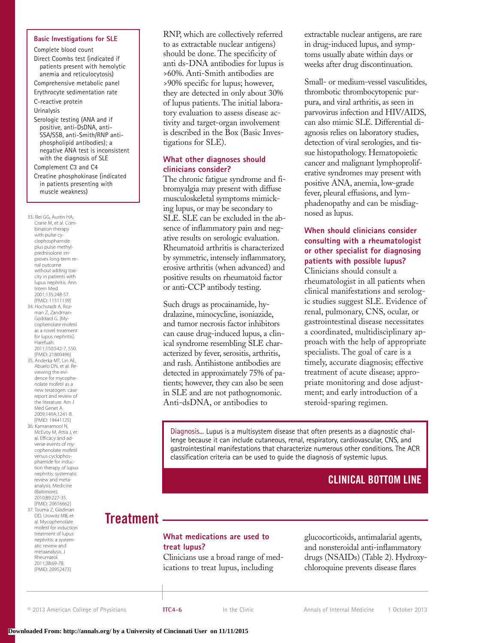#### **Basic Investigations for SLE**

Complete blood count Direct Coombs test (indicated if patients present with hemolytic anemia and reticulocytosis) Comprehensive metabolic panel Erythrocyte sedimentation rate

C-reactive protein

#### Urinalysis

Serologic testing (ANA and if positive, anti-DsDNA, anti-SSA/SSB, anti-Smith/RNP antiphospholipid antibodies); a negative ANA test is inconsistent with the diagnosis of SLE

Complement C3 and C4 Creatine phosphokinase (indicated

in patients presenting with muscle weakness)

Crane M, et al. Combination therapy with pulse cyclophosphamide plus pulse methylprednisolone improves long-term renal outcome without adding toxicity in patients with lupus nephritis. Ann Intern Med. 2001;135:248-57. [PMID: 11511139] 34. Hochstadt A, Rozman Z, Zandman-Goddard G. [Mycophenolate mofetil as a novel treatment for lupus nephritis]. Harefuah. 2011;150:542-7, 550. [PMID: 21800496]

33. Illei GG, Austin HA,

35. Anderka MT, Lin AE, Abuelo DN, et al. Reviewing the evidence for mycophenolate mofetil as a new teratogen: case report and review of the literature. Am J Med Genet A. 2009;149A:1241-8. [PMID: 19441125]

36. Kamanamool N, McEvoy M, Attia J, et al. Efficacy and adverse events of mycophenolate mofetil versus cyclophosphamide for induction therapy of lupus nephritis: systematic review and metaanalysis. Medicine (Baltimore). 2010;89:227-35. [PMID: 20616662]

37. Touma Z, Gladman DD, Urowitz MB, et al. Mycophenolate mofetil for induction treatment of lupus nephritis: a systematic review and metaanalysis. J Rheumatol. 2011;38:69-78. [PMID: 20952473]

RNP, which are collectively referred to as extractable nuclear antigens) should be done. The specificity of anti ds-DNA antibodies for lupus is >60%. Anti-Smith antibodies are >90% specific for lupus; however, they are detected in only about 30% of lupus patients. The initial laboratory evaluation to assess disease activity and target-organ involvement is described in the Box (Basic Investigations for SLE).

#### **What other diagnoses should clinicians consider?**

The chronic fatigue syndrome and fibromyalgia may present with diffuse musculoskeletal symptoms mimicking lupus, or may be secondary to SLE. SLE can be excluded in the absence of inflammatory pain and negative results on serologic evaluation. Rheumatoid arthritis is characterized by symmetric, intensely inflammatory, erosive arthritis (when advanced) and positive results on rheumatoid factor or anti-CCP antibody testing.

Such drugs as procainamide, hydralazine, minocycline, isoniazide, and tumor necrosis factor inhibitors can cause drug-induced lupus, a clinical syndrome resembling SLE characterized by fever, serositis, arthritis, and rash. Antihistone antibodies are detected in approximately 75% of patients; however, they can also be seen in SLE and are not pathognomonic. Anti-dsDNA, or antibodies to

extractable nuclear antigens, are rare in drug-induced lupus, and symptoms usually abate within days or weeks after drug discontinuation.

Small- or medium-vessel vasculitides, thrombotic thrombocytopenic purpura, and viral arthritis, as seen in parvovirus infection and HIV/AIDS, can also mimic SLE. Differential diagnosis relies on laboratory studies, detection of viral serologies, and tissue histopathology. Hematopoietic cancer and malignant lymphoproliferative syndromes may present with positive ANA, anemia, low-grade fever, pleural effusions, and lymphadenopathy and can be misdiagnosed as lupus.

#### **When should clinicians consider consulting with a rheumatologist or other specialist for diagnosing patients with possible lupus?**

Clinicians should consult a rheumatologist in all patients when clinical manifestations and serologic studies suggest SLE. Evidence of renal, pulmonary, CNS, ocular, or gastrointestinal disease necessitates a coordinated, multidisciplinary approach with the help of appropriate specialists. The goal of care is a timely, accurate diagnosis; effective treatment of acute disease; appropriate monitoring and dose adjustment; and early introduction of a steroid-sparing regimen.

Diagnosis... Lupus is a multisystem disease that often presents as a diagnostic challenge because it can include cutaneous, renal, respiratory, cardiovascular, CNS, and gastrointestinal manifestations that characterize numerous other conditions. The ACR classification criteria can be used to guide the diagnosis of systemic lupus.

## **CLINICAL BOTTOM LINE**

## **Treatment**

#### **What medications are used to treat lupus?** Clinicians use a broad range of med-

ications to treat lupus, including

glucocorticoids, antimalarial agents, and nonsteroidal anti-inflammatory drugs (NSAIDs) (Table 2). Hydroxychloroquine prevents disease flares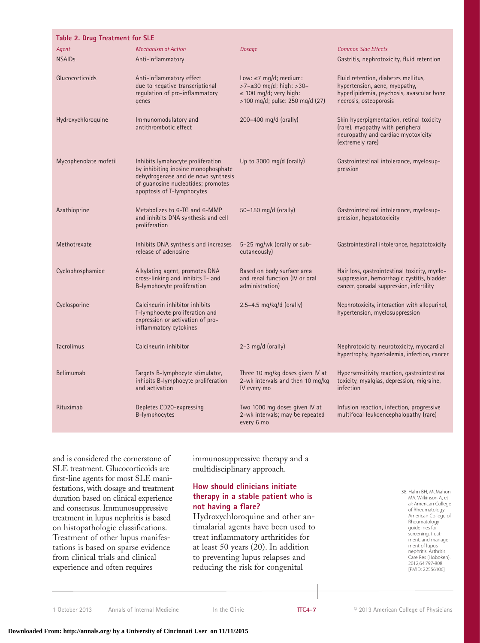| Table 2. Drug Treatment for SLE |                                                                                                                                                                                     |                                                                                                                          |                                                                                                                                             |  |  |
|---------------------------------|-------------------------------------------------------------------------------------------------------------------------------------------------------------------------------------|--------------------------------------------------------------------------------------------------------------------------|---------------------------------------------------------------------------------------------------------------------------------------------|--|--|
| Agent                           | <b>Mechanism of Action</b>                                                                                                                                                          | Dosage                                                                                                                   | <b>Common Side Effects</b>                                                                                                                  |  |  |
| <b>NSAIDs</b>                   | Anti-inflammatory                                                                                                                                                                   |                                                                                                                          | Gastritis, nephrotoxicity, fluid retention                                                                                                  |  |  |
| Glucocorticoids                 | Anti-inflammatory effect<br>due to negative transcriptional<br>regulation of pro-inflammatory<br>genes                                                                              | Low: $\leq$ 7 mg/d; medium:<br>>7-≤30 mg/d; high: >30-<br>$\leq$ 100 mg/d; very high:<br>>100 mg/d; pulse: 250 mg/d (27) | Fluid retention, diabetes mellitus,<br>hypertension, acne, myopathy,<br>hyperlipidemia, psychosis, avascular bone<br>necrosis, osteoporosis |  |  |
| Hydroxychloroquine              | Immunomodulatory and<br>antithrombotic effect                                                                                                                                       | 200-400 mg/d (orally)                                                                                                    | Skin hyperpigmentation, retinal toxicity<br>(rare), myopathy with peripheral<br>neuropathy and cardiac myotoxicity<br>(extremely rare)      |  |  |
| Mycophenolate mofetil           | Inhibits lymphocyte proliferation<br>by inhibiting inosine monophosphate<br>dehydrogenase and de novo synthesis<br>of guanosine nucleotides; promotes<br>apoptosis of T-lymphocytes | Up to 3000 mg/d (orally)                                                                                                 | Gastrointestinal intolerance, myelosup-<br>pression                                                                                         |  |  |
| Azathioprine                    | Metabolizes to 6-TG and 6-MMP<br>and inhibits DNA synthesis and cell<br>proliferation                                                                                               | $50-150$ mg/d (orally)                                                                                                   | Gastrointestinal intolerance, myelosup-<br>pression, hepatotoxicity                                                                         |  |  |
| Methotrexate                    | Inhibits DNA synthesis and increases<br>release of adenosine                                                                                                                        | 5-25 mg/wk (orally or sub-<br>cutaneously)                                                                               | Gastrointestinal intolerance, hepatotoxicity                                                                                                |  |  |
| Cyclophosphamide                | Alkylating agent, promotes DNA<br>cross-linking and inhibits T- and<br>B-lymphocyte proliferation                                                                                   | Based on body surface area<br>and renal function (IV or oral<br>administration)                                          | Hair loss, gastrointestinal toxicity, myelo-<br>suppression, hemorrhagic cystitis, bladder<br>cancer, gonadal suppression, infertility      |  |  |
| Cyclosporine                    | Calcineurin inhibitor inhibits<br>T-lymphocyte proliferation and<br>expression or activation of pro-<br>inflammatory cytokines                                                      | $2.5 - 4.5$ mg/kg/d (orally)                                                                                             | Nephrotoxicity, interaction with allopurinol,<br>hypertension, myelosuppression                                                             |  |  |
| <b>Tacrolimus</b>               | Calcineurin inhibitor                                                                                                                                                               | $2-3$ mg/d (orally)                                                                                                      | Nephrotoxicity, neurotoxicity, myocardial<br>hypertrophy, hyperkalemia, infection, cancer                                                   |  |  |
| <b>Belimumab</b>                | Targets B-lymphocyte stimulator,<br>inhibits B-lymphocyte proliferation<br>and activation                                                                                           | Three 10 mg/kg doses given IV at<br>2-wk intervals and then 10 mg/kg<br>IV every mo                                      | Hypersensitivity reaction, gastrointestinal<br>toxicity, myalgias, depression, migraine,<br>infection                                       |  |  |
| Rituximab                       | Depletes CD20-expressing<br>B-lymphocytes                                                                                                                                           | Two 1000 mg doses given IV at<br>2-wk intervals; may be repeated<br>every 6 mo                                           | Infusion reaction, infection, progressive<br>multifocal leukoencephalopathy (rare)                                                          |  |  |

and is considered the cornerstone of SLE treatment. Glucocorticoids are first-line agents for most SLE manifestations, with dosage and treatment duration based on clinical experience and consensus. Immunosuppressive treatment in lupus nephritis is based on histopathologic classifications. Treatment of other lupus manifestations is based on sparse evidence from clinical trials and clinical experience and often requires

immunosuppressive therapy and a multidisciplinary approach.

#### **How should clinicians initiate therapy in a stable patient who is not having a flare?**

Hydroxychloroquine and other antimalarial agents have been used to treat inflammatory arthritides for at least 50 years (20). In addition to preventing lupus relapses and reducing the risk for congenital

38. Hahn BH, McMahon MA, Wilkinson A, et al; American College of Rheumatology. American College of Rheumatology guidelines for screening, treatment, and management of lupus nephritis. Arthritis Care Res (Hoboken). 2012;64:797-808. [PMID: 22556106]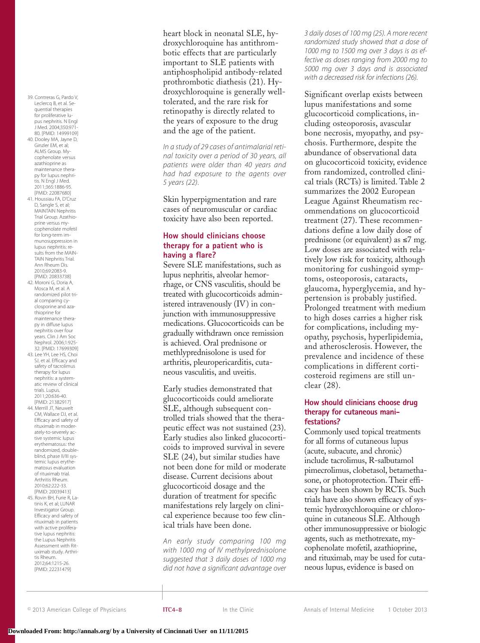39. Contreras G, Pardo V, Leclercq B, et al. Sequential therapies for proliferative lupus nephritis. N Engl J Med. 2004;350:971- 80. [PMID: 14999109]

40. Dooley MA, Jayne D, Ginzler EM, et al; ALMS Group. Mycophenolate versus azathioprine as maintenance therapy for lupus nephri-tis. N Engl J Med. 2011;365:1886-95. [PMID: 22087680]

41. Houssiau FA, D'Cruz D, Sangle S, et al; MAINTAIN Nephritis Trial Group. Azathioprine versus mycophenolate mofetil for long-term immunosuppression in lupus nephritis: results from the MAIN-TAIN Nephritis Trial. Ann Rheum Dis. 2010;69:2083-9. [PMID: 20833738]

- 42. Moroni G, Doria A, Mosca M, et al. A randomized pilot trial comparing cy-closporine and azathioprine for maintenance therapy in diffuse lupus nephritis over four years. Clin J Am Soc Nephrol. 2006;1:925- 32. [PMID: 17699309]
- 43. Lee YH, Lee HS, Choi SJ, et al. Efficacy and safety of tacrolimus therapy for lupus nephritis: a systematic review of clinical trials. Lupus. 2011;20:636-40. [PMID: 21382917]
- 44. Merrill JT, Neuwelt CM, Wallace DJ, et al. Efficacy and safety of rituximab in moderately-to-severely active systemic lupus erythematosus: the randomized, doubleblind, phase II/III systemic lupus erythematosus evaluation of rituximab trial. Arthritis Rheum. 2010;62:222-33. [PMID: 20039413]

45. Rovin BH, Furie R, Latinis K, et al; LUNAR Investigator Group. Efficacy and safety of rituximab in patients with active proliferative lupus nephritis: the Lupus Nephritis Assessment with Rituximab study. Arthritis Rheum. 2012;64:1215-26. [PMID: 22231479]

heart block in neonatal SLE, hydroxychloroquine has antithrombotic effects that are particularly important to SLE patients with antiphospholipid antibody-related prothrombotic diathesis (21). Hydroxychloroquine is generally welltolerated, and the rare risk for retinopathy is directly related to the years of exposure to the drug and the age of the patient.

In a study of 29 cases of antimalarial retinal toxicity over a period of 30 years, all patients were older than 40 years and had had exposure to the agents over 5 years (22).

Skin hyperpigmentation and rare cases of neuromuscular or cardiac toxicity have also been reported.

#### **How should clinicians choose therapy for a patient who is having a flare?**

Severe SLE manifestations, such as lupus nephritis, alveolar hemorrhage, or CNS vasculitis, should be treated with glucocorticoids administered intravenously (IV) in conjunction with immunosuppressive medications. Glucocorticoids can be gradually withdrawn once remission is achieved. Oral prednisone or methlyprednisolone is used for arthritis, pleuropericarditis, cutaneous vasculitis, and uveitis.

Early studies demonstrated that glucocorticoids could ameliorate SLE, although subsequent controlled trials showed that the therapeutic effect was not sustained (23). Early studies also linked glucocorticoids to improved survival in severe SLE (24), but similar studies have not been done for mild or moderate disease. Current decisions about glucocorticoid dosage and the duration of treatment for specific manifestations rely largely on clinical experience because too few clinical trials have been done.

An early study comparing 100 mg with 1000 mg of IV methylprednisolone suggested that 3 daily doses of 1000 mg did not have a significant advantage over

3 daily doses of 100 mg (25). A more recent randomized study showed that a dose of 1000 mg to 1500 mg over 3 days is as effective as doses ranging from 2000 mg to 5000 mg over 3 days and is associated with a decreased risk for infections (26).

Significant overlap exists between lupus manifestations and some glucocorticoid complications, including osteoporosis, avascular bone necrosis, myopathy, and psychosis. Furthermore, despite the abundance of observational data on glucocorticoid toxicity, evidence from randomized, controlled clinical trials (RCTs) is limited. Table 2 summarizes the 2002 European League Against Rheumatism recommendations on glucocorticoid treatment (27). These recommendations define a low daily dose of prednisone (or equivalent) as  $\leq$ 7 mg. Low doses are associated with relatively low risk for toxicity, although monitoring for cushingoid symptoms, osteoporosis, cataracts, glaucoma, hyperglycemia, and hypertension is probably justified. Prolonged treatment with medium to high doses carries a higher risk for complications, including myopathy, psychosis, hyperlipidemia, and atherosclerosis. However, the prevalence and incidence of these complications in different corticosteroid regimens are still unclear (28).

#### **How should clinicians choose drug therapy for cutaneous manifestations?**

Commonly used topical treatments for all forms of cutaneous lupus (acute, subacute, and chronic) include tacrolimus, R-salbutamol pimecrolimus, clobetasol, betamethasone, or photoprotection. Their efficacy has been shown by RCTs. Such trials have also shown efficacy of systemic hydroxychloroquine or chloroquine in cutaneous SLE. Although other immunosuppressive or biologic agents, such as methotrexate, mycophenolate mofetil, azathioprine, and rituximab, may be used for cutaneous lupus, evidence is based on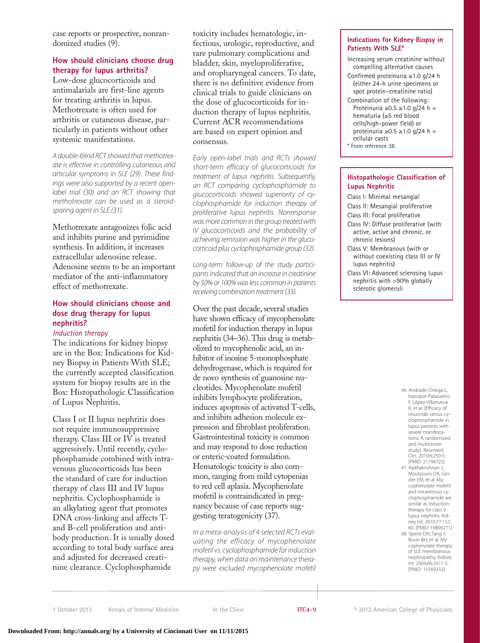case reports or prospective, nonrandomized studies (9).

#### **How should clinicians choose drug therapy for lupus arthritis?**

Low-dose glucocorticoids and antimalarials are first-line agents for treating arthritis in lupus. Methotrexate is often used for arthritis or cutaneous disease, particularly in patients without other systemic manifestations.

A double-blind RCT showed that methotrexate is effective in controlling cutaneous and articular symptoms in SLE (29). These findings were also supported by a recent openlabel trial (30) and an RCT showing that methotrexate can be used as a steroidsparing agent in SLE (31).

Methotrexate antagonizes folic acid and inhibits purine and pyrimidine synthesis. In addition, it increases extracellular adenosine release. Adenosine seems to be an important mediator of the anti-inflammatory effect of methotrexate.

#### **How should clinicians choose and dose drug therapy for lupus nephritis?**

#### *Induction therapy*

The indications for kidney biopsy are in the Box: Indications for Kidney Biopsy in Patients With SLE; the currently accepted classification system for biopsy results are in the Box: Histopathologic Classification of Lupus Nephritis.

Class I or II lupus nephritis does not require immunosuppressive therapy. Class III or IV is treated aggressively**.** Until recently, cyclophosphamide combined with intravenous glucocorticoids has been the standard of care for induction therapy of class III and IV lupus nephritis. Cyclophosphamide is an alkylating agent that promotes DNA cross-linking and affects Tand B-cell proliferation and antibody production. It is usually dosed according to total body surface area and adjusted for decreased creatinine clearance. Cyclophosphamide

toxicity includes hematologic, infectious, urologic, reproductive, and rare pulmonary complications and bladder, skin, myeloproliferative, and oropharyngeal cancers. To date, there is no definitive evidence from clinical trials to guide clinicians on the dose of glucocorticoids for induction therapy of lupus nephritis. Current ACR recommendations are based on expert opinion and consensus.

Early open-label trials and RCTs showed short-term efficacy of glucocorticoids for treatment of lupus nephritis. Subsequently, an RCT comparing cyclophosphamide to glucocorticoids showed superiority of cyclophosphamide for induction therapy of proliferative lupus nephritis. Nonresponse was more common in the group treated with IV glucocorticoids and the probability of achieving remission was higher in the glucocorticoid plus cyclophosphamide group (32).

Long-term follow-up of the study participants indicated that an increase in creatinine by 50% or 100% was less common in patients receiving combination treatment (33).

Over the past decade, several studies have shown efficacy of mycophenolate mofetil for induction therapy in lupus nephritis (34–36). This drug is metabolized to mycophenolic acid, an inhibitor of inosine 5-monophosphate dehydrogenase, which is required for de novo synthesis of guanosine nucleotides. Mycophenolate mofetil inhibits lymphocyte proliferation, induces apoptosis of activated T-cells, and inhibits adhesion molecule expression and fibroblast proliferation. Gastrointestinal toxicity is common and may respond to dose reduction or enteric-coated formulation. Hematologic toxicity is also common, ranging from mild cytopenias to red cell aplasia. Mycophenolate mofetil is contraindicated in pregnancy because of case reports suggesting teratogenicity (37).

In a meta-analysis of 4 selected RCTs evaluating the efficacy of mycophenolate mofetil vs. cyclophosphamide for induction therapy, when data on maintenance therapy were excluded mycophenolate mofetil

#### **Indications for Kidney Biopsy in Patients With SLE\***

Increasing serum creatinine without compelling alternative causes

- Confirmed proteinuria ≥1.0 g/24 h (either 24-h urine specimens or spot protein–creatinine ratio)
- Combination of the following: Proteinuria ≥0.5 ≥1.0 g/24 h + hematuria (≥5 red blood cells/high-power field) or proteinuria ≥0.5 ≥1.0 g/24 h + cellular casts
- \* From reference 38.

#### **Histopathologic Classification of Lupus Nephritis**

Class I: Minimal mesangial

Class II: Mesangial proliferative

Class III: Focal proliferative

Class IV: Diffuse proliferative (with active, active and chronic, or chronic lesions)

- Class V: Membranous (with or without coexisting class III or IV lupus nephritis)
- Class VI: Advanced sclerosing lupus nephritis with >90% globally sclerotic glomeruli

46. Andrade-Ortega L, Irazoque-Palazuelos F, López-Villanueva R, et al. [Efficacy of rituximab versus cyclophosphamide in lupus patients with severe manifestations. A randomized and multicenter study]. Reumatol Clin. 2010;6:250-5. [PMID: 21794725] 47. Radhakrishnan J,

Moutzouris DA, Ginzler EM, et al. Mycophenolate mofetil and intravenous cyclophosphamide are similar as induction therapy for class V lupus nephritis. Kidney Int. 2010;77:152- 60. [PMID: 19890271] 48. Spetie DN, Tang Y, Rovin BH, et al. Mycophenolate therapy of SLE membranous nephropathy. Kidney Int. 2004;66:2411-5. [PMID: 15569333]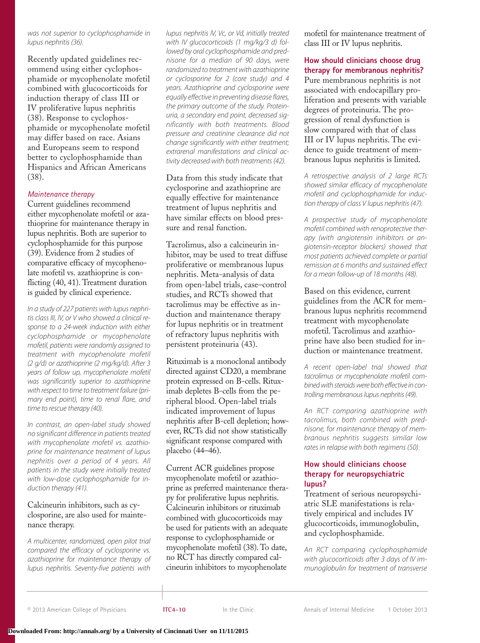was not superior to cyclophosphamide in lupus nephritis (36).

Recently updated guidelines recommend using either cyclophosphamide or mycophenolate mofetil combined with glucocorticoids for induction therapy of class III or IV proliferative lupus nephritis (38). Response to cyclophosphamide or mycophenolate mofetil may differ based on race. Asians and Europeans seem to respond better to cyclophosphamide than Hispanics and African Americans (38).

#### *Maintenance therapy*

Current guidelines recommend either mycophenolate mofetil or azathioprine for maintenance therapy in lupus nephritis. Both are superior to cyclophosphamide for this purpose (39). Evidence from 2 studies of comparative efficacy of mycophenolate mofetil vs. azathioprine is conflicting (40, 41). Treatment duration is guided by clinical experience.

In a study of 227 patients with lupus nephritis class III, IV, or V who showed a clinical response to a 24-week induction with either cyclophosphamide or mycophenolate mofetil, patients were randomly assigned to treatment with mycophenolate mofetil (2 g/d) or azathioprine (2 mg/kg/d). After 3 years of follow up, mycophenolate mofetil was significantly superior to azathioprine with respect to time to treatment failure (primary end point), time to renal flare, and time to rescue therapy (40).

In contrast, an open-label study showed no significant difference in patients treated with mycophenolate mofetil vs. azathioprine for maintenance treatment of lupus nephritis over a period of 4 years. All patients in the study were initially treated with low-dose cyclophosphamide for induction therapy (41).

#### Calcineurin inhibitors, such as cyclosporine, are also used for maintenance therapy.

A multicenter, randomized, open pilot trial compared the efficacy of cyclosporine vs. azathioprine for maintenance therapy of lupus nephritis. Seventy-five patients with

lupus nephritis IV, Vc, or Vd, initially treated with IV glucocorticoids (1 mg/kg/3 d) followed by oral cyclophosphamide and prednisone for a median of 90 days, were randomized to treatment with azathioprine or cyclosporine for 2 (core study) and 4 years. Azathioprine and cyclosporine were equally effective in preventing disease flares, the primary outcome of the study. Proteinuria, a secondary end point, decreased significantly with both treatments. Blood pressure and creatinine clearance did not change significantly with either treatment; extrarenal manifestations and clinical activity decreased with both treatments (42).

Data from this study indicate that cyclosporine and azathioprine are equally effective for maintenance treatment of lupus nephritis and have similar effects on blood pressure and renal function.

Tacrolimus, also a calcineurin inhibitor, may be used to treat diffuse proliferative or membranous lupus nephritis. Meta-analysis of data from open-label trials, case–control studies, and RCTs showed that tacrolimus may be effective as induction and maintenance therapy for lupus nephritis or in treatment of refractory lupus nephritis with persistent proteinuria (43).

Rituximab is a monoclonal antibody directed against CD20, a membrane protein expressed on B-cells. Rituximab depletes B-cells from the peripheral blood. Open-label trials indicated improvement of lupus nephritis after B-cell depletion; however, RCTs did not show statistically significant response compared with placebo (44–46).

Current ACR guidelines propose mycophenolate mofetil or azathioprine as preferred maintenance therapy for proliferative lupus nephritis. Calcineurin inhibitors or rituximab combined with glucocorticoids may be used for patients with an adequate response to cyclophosphamide or mycophenolate mofetil (38). To date, no RCT has directly compared calcineurin inhibitors to mycophenolate

mofetil for maintenance treatment of class III or IV lupus nephritis.

**How should clinicians choose drug therapy for membranous nephritis?** Pure membranous nephritis is not associated with endocapillary proliferation and presents with variable degrees of proteinuria. The progression of renal dysfunction is slow compared with that of class III or IV lupus nephritis. The evidence to guide treatment of membranous lupus nephritis is limited.

A retrospective analysis of 2 large RCTs showed similar efficacy of mycophenolate mofetil and cyclophosphamide for induction therapy of class V lupus nephritis (47).

A prospective study of mycophenolate mofetil combined with renoprotective therapy (with angiotensin inhibitors or angiotensin-receptor blockers) showed that most patients achieved complete or partial remission at 6 months and sustained effect for a mean follow-up of 18 months (48).

Based on this evidence, current guidelines from the ACR for membranous lupus nephritis recommend treatment with mycophenolate mofetil. Tacrolimus and azathioprine have also been studied for induction or maintenance treatment.

A recent open-label trial showed that tacrolimus or mycophenolate mofetil combined with steroids were both effective in controlling membranous lupus nephritis (49).

An RCT comparing azathioprine with tacrolimus, both combined with prednisone, for maintenance therapy of membranous nephritis suggests similar low rates in relapse with both regimens (50).

#### **How should clinicians choose therapy for neuropsychiatric lupus?**

Treatment of serious neuropsychiatric SLE manifestations is relatively empirical and includes IV glucocorticoids, immunoglobulin, and cyclophosphamide.

An RCT comparing cyclophosphamide with glucocorticoids after 3 days of IV immunoglobulin for treatment of transverse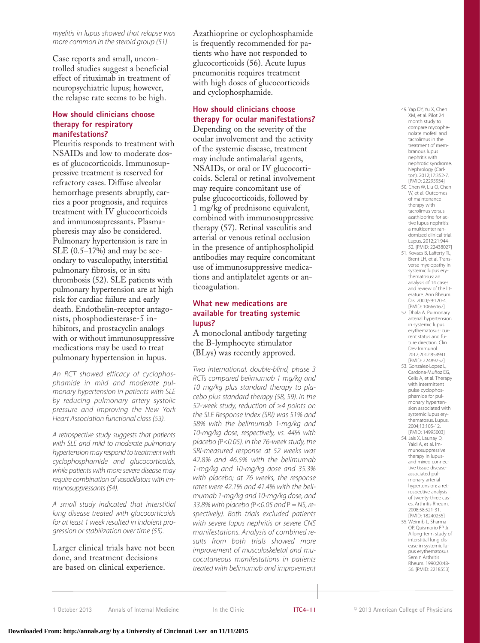#### myelitis in lupus showed that relapse was more common in the steroid group (51).

Case reports and small, uncontrolled studies suggest a beneficial effect of rituximab in treatment of neuropsychiatric lupus; however, the relapse rate seems to be high.

#### **How should clinicians choose therapy for respiratory manifestations?**

Pleuritis responds to treatment with NSAIDs and low to moderate doses of glucocorticoids. Immunosuppressive treatment is reserved for refractory cases. Diffuse alveolar hemorrhage presents abruptly, carries a poor prognosis, and requires treatment with IV glucocorticoids and immunosupressants. Plasmapheresis may also be considered. Pulmonary hypertension is rare in SLE (0.5–17%) and may be secondary to vasculopathy, interstitial pulmonary fibrosis, or in situ thrombosis (52). SLE patients with pulmonary hypertension are at high risk for cardiac failure and early death. Endothelin-receptor antagonists, phosphodiesterase-5 inhibitors, and prostacyclin analogs with or without immunosuppressive medications may be used to treat pulmonary hypertension in lupus.

An RCT showed efficacy of cyclophosphamide in mild and moderate pulmonary hypertension in patients with SLE by reducing pulmonary artery systolic pressure and improving the New York Heart Association functional class (53).

A retrospective study suggests that patients with SLE and mild to moderate pulmonary hypertension may respond to treatment with cyclophosphamide and glucocorticoids, while patients with more severe disease may require combination of vasodilators with immunosuppressants (54).

A small study indicated that interstitial lung disease treated with glucocorticoids for at least 1 week resulted in indolent progression or stabilization over time (55).

Larger clinical trials have not been done, and treatment decisions are based on clinical experience.

Azathioprine or cyclophosphamide is frequently recommended for patients who have not responded to glucocorticoids (56). Acute lupus pneumonitis requires treatment with high doses of glucocorticoids and cyclophosphamide.

#### **How should clinicians choose therapy for ocular manifestations?**

Depending on the severity of the ocular involvement and the activity of the systemic disease, treatment may include antimalarial agents, NSAIDs, or oral or IV glucocorticoids. Scleral or retinal involvement may require concomitant use of pulse glucocorticoids, followed by 1 mg/kg of prednisone equivalent, combined with immunosuppressive therapy (57). Retinal vasculitis and arterial or venous retinal occlusion in the presence of antiphospholipid antibodies may require concomitant use of immunosuppressive medications and antiplatelet agents or anticoagulation.

#### **What new medications are available for treating systemic lupus?**

A monoclonal antibody targeting the B-lymphocyte stimulator (BLys) was recently approved.

Two international, double-blind, phase 3 RCTs compared belimumab 1 mg/kg and 10 mg/kg plus standard therapy to placebo plus standard therapy (58, 59). In the 52-week study, reduction of ≥4 points on the SLE Response Index (SRI) was 51% and 58% with the belimumab 1-mg/kg and 10-mg/kg dose, respectively, vs. 44% with placebo (P<0.05). In the 76-week study, the SRI-measured response at 52 weeks was 42.8% and 46.5% with the belimumab 1-mg/kg and 10-mg/kg dose and 35.3% with placebo; at 76 weeks, the response rates were 42.1% and 41.4% with the belimumab 1-mg/kg and 10-mg/kg dose, and 33.8% with placebo ( $P < 0.05$  and  $P = NS$ , respectively). Both trials excluded patients with severe lupus nephritis or severe CNS manifestations. Analysis of combined results from both trials showed more improvement of musculoskeletal and mucocutaneous manifestations in patients treated with belimumab and improvement

49. Yap DY, Yu X, Chen XM, et al. Pilot 24 month study to compare mycophenolate mofetil and tacrolimus in the treatment of membranous lupus nephritis with nephrotic syndrome. Nephrology (Carl-ton). 2012;17:352-7. [PMID: 22295934] 50. Chen W, Liu Q, Chen W, et al. Outcomes of maintenance therapy with tacrolimus versus azathioprine for active lupus nephritis: a multicenter randomized clinical trial. Lupus. 2012;21:944- 52. [PMID: 22438027] 51. Kovacs B, Lafferty TL, Brent LH, et al. Transverse myelopathy in systemic lupus erythematosus: an analysis of 14 cases and review of the literature. Ann Rheum Dis. 2000;59:120-4. [PMID: 10666167] 52. Dhala A. Pulmonary arterial hypertension in systemic lupus erythematosus: current status and future direction. Clin Dev Immunol. 2012;2012:854941. [PMID: 22489252] 53. Gonzalez-Lopez L, Cardona-Muñoz EG, Celis A, et al. Therapy with intermittent pulse cyclophos-phamide for pulmonary hypertension associated with systemic lupus ery-

[PMID: 14995003] 54. Jais X, Launay D, Yaici A, et al. Immunosuppressive therapy in lupusand mixed connective tissue disease associated pulmonary arterial hypertension: a retrospective analysis of twenty-three cases. Arthritis Rheum. 2008;58:521-31. [PMID: 18240255] 55. Weinrib L, Sharma

thematosus. Lupus. 2004;13:105-12.

OP, Quismorio FP Jr. A long-term study of interstitial lung disease in systemic lupus erythematosus. emin Arthritis Rheum. 1990;20:48- 56. [PMID: 2218553]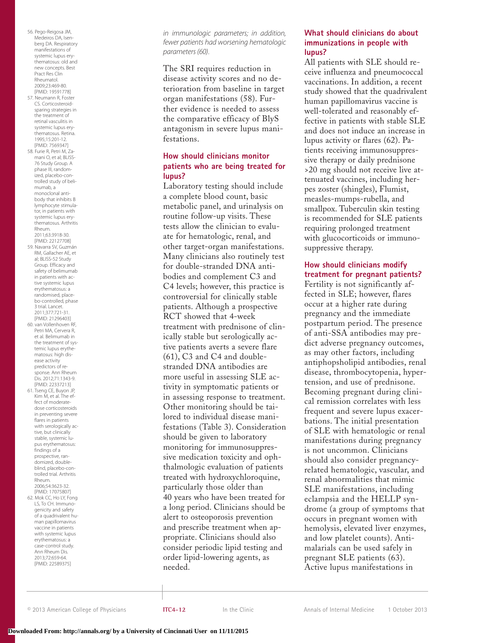56. Pego-Reigosa JM, Medeiros DA, Isenberg DA. Respiratory manifestations of systemic lupus erythematosus: old and new concepts. Best Pract Res Clin Rheumatol. 2009;23:469-80. [PMID: 19591778]

57. Neumann R, Foster CS. Corticosteroidsparing strategies in the treatment of retinal vasculitis in systemic lupus erythematosus. Retina. 1995;15:201-12. [PMID: 7569347]

58. Furie R, Petri M, Zamani O, et al; BLISS-76 Study Group. A phase III, randomized, placebo-con trolled study of belimumab, a monoclonal antibody that inhibits B lymphocyte stimulator, in patients with systemic lupus erythematosus. Arthritis Rheum. 2011;63:3918-30. [PMID: 22127708] 59. Navarra SV, Guzmán RM, Gallacher AE, et al; BLISS-52 Study Group. Efficacy and safety of belimumab in patients with active systemic lupus erythematosus: a randomised, placebo-controlled, phase 3 trial. Lancet. 2011;377:721-31. [PMID: 21296403] 60. van Vollenhoven RF, Petri MA, Cervera R, et al. Belimumab in the treatment of systemic lupus erythematosus: high disease activity predictors of response. Ann Rheum Dis. 2012;71:1343-9.

[PMID: 22337213] 61. Tseng CE, Buyon JP, Kim M, et al. The effect of moderatedose corticosteroids in preventing severe flares in patients with serologically active, but clinically stable, systemic lupus erythematosus: findings of a prospective, randomized, doubleblind, placebo-controlled trial. Arthritis Rheum. 2006;54:3623-32. [PMID: 17075807] 62. Mok CC, Ho LY, Fong LS, To CH. Immuno-

genicity and safety of a quadrivalent human papillomavirus vaccine in patients with systemic lupus erythematosus: a case-control study. Ann Rheum Dis. 2013;72:659-64. [PMID: 22589375]

in immunologic parameters; in addition, fewer patients had worsening hematologic parameters (60).

The SRI requires reduction in disease activity scores and no deterioration from baseline in target organ manifestations (58). Further evidence is needed to assess the comparative efficacy of BlyS antagonism in severe lupus manifestations.

#### **How should clinicians monitor patients who are being treated for lupus?**

Laboratory testing should include a complete blood count, basic metabolic panel, and urinalysis on routine follow-up visits. These tests allow the clinician to evaluate for hematologic, renal, and other target-organ manifestations. Many clinicians also routinely test for double-stranded DNA antibodies and complement C3 and C4 levels; however, this practice is controversial for clinically stable patients. Although a prospective RCT showed that 4-week treatment with prednisone of clinically stable but serologically active patients averts a severe flare (61), C3 and C4 and doublestranded DNA antibodies are more useful in assessing SLE activity in symptomatic patients or in assessing response to treatment. Other monitoring should be tailored to individual disease manifestations (Table 3). Consideration should be given to laboratory monitoring for immunosuppressive medication toxicity and ophthalmologic evaluation of patients treated with hydroxychloroquine, particularly those older than 40 years who have been treated for a long period. Clinicians should be alert to osteoporosis prevention and prescribe treatment when appropriate. Clinicians should also consider periodic lipid testing and order lipid-lowering agents, as needed.

#### **What should clinicians do about immunizations in people with lupus?**

All patients with SLE should receive influenza and pneumococcal vaccinations. In addition, a recent study showed that the quadrivalent human papillomavirus vaccine is well-tolerated and reasonably effective in patients with stable SLE and does not induce an increase in lupus activity or flares (62). Patients receiving immunosuppressive therapy or daily prednisone >20 mg should not receive live attenuated vaccines, including herpes zoster (shingles), Flumist, measles-mumps-rubella, and smallpox. Tuberculin skin testing is recommended for SLE patients requiring prolonged treatment with glucocorticoids or immunosuppressive therapy.

#### **How should clinicians modify treatment for pregnant patients?**

Fertility is not significantly affected in SLE; however, flares occur at a higher rate during pregnancy and the immediate postpartum period. The presence of anti-SSA antibodies may predict adverse pregnancy outcomes, as may other factors, including antiphopsholipid antibodies, renal disease, thrombocytopenia, hypertension, and use of prednisone. Becoming pregnant during clinical remission correlates with less frequent and severe lupus exacerbations. The initial presentation of SLE with hematologic or renal manifestations during pregnancy is not uncommon. Clinicians should also consider pregnancyrelated hematologic, vascular, and renal abnormalities that mimic SLE manifestations, including eclampsia and the HELLP syndrome (a group of symptoms that occurs in pregnant women with hemolysis, elevated liver enzymes, and low platelet counts). Antimalarials can be used safely in pregnant SLE patients (63). Active lupus manifestations in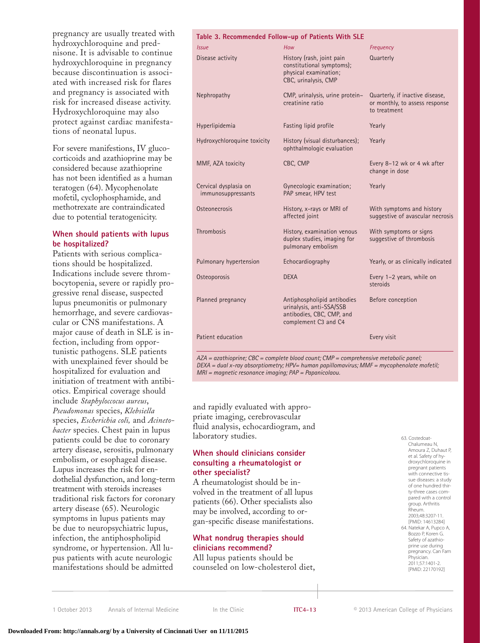pregnancy are usually treated with hydroxychloroquine and prednisone. It is advisable to continue hydroxychloroquine in pregnancy because discontinuation is associated with increased risk for flares and pregnancy is associated with risk for increased disease activity. Hydroxychloroquine may also protect against cardiac manifestations of neonatal lupus.

For severe manifestions, IV glucocorticoids and azathioprine may be considered because azathioprine has not been identified as a human teratogen (64). Mycophenolate mofetil, cyclophosphamide, and methotrexate are contraindicated due to potential teratogenicity.

#### **When should patients with lupus be hospitalized?**

Patients with serious complications should be hospitalized. Indications include severe thrombocytopenia, severe or rapidly progressive renal disease, suspected lupus pneumonitis or pulmonary hemorrhage, and severe cardiovascular or CNS manifestations. A major cause of death in SLE is infection, including from opportunistic pathogens. SLE patients with unexplained fever should be hospitalized for evaluation and initiation of treatment with antibiotics. Empirical coverage should include *Staphyloccocus aureus*, *Pseudomonas* species, *Klebsiella* species, *Escherichia coli,* and *Acinetobacter* species. Chest pain in lupus patients could be due to coronary artery disease, serositis, pulmonary embolism, or esophageal disease. Lupus increases the risk for endothelial dysfunction, and long-term treatment with steroids increases traditional risk factors for coronary artery disease (65). Neurologic symptoms in lupus patients may be due to neuropsychiatric lupus, infection, the antiphospholipid syndrome, or hypertension. All lupus patients with acute neurologic manifestations should be admitted

| Table 3. Recommended Follow-up of Patients With SLE |                                                                                                              |                                                                                   |  |  |  |
|-----------------------------------------------------|--------------------------------------------------------------------------------------------------------------|-----------------------------------------------------------------------------------|--|--|--|
| <b>Issue</b>                                        | How                                                                                                          | Frequency                                                                         |  |  |  |
| Disease activity                                    | History (rash, joint pain<br>constitutional symptoms);<br>physical examination;<br>CBC, urinalysis, CMP      | Quarterly                                                                         |  |  |  |
| Nephropathy                                         | CMP, urinalysis, urine protein-<br>creatinine ratio                                                          | Quarterly, if inactive disease,<br>or monthly, to assess response<br>to treatment |  |  |  |
| Hyperlipidemia                                      | Fasting lipid profile                                                                                        | Yearly                                                                            |  |  |  |
| Hydroxychloroquine toxicity                         | History (visual disturbances);<br>ophthalmologic evaluation                                                  | Yearly                                                                            |  |  |  |
| MMF, AZA toxicity                                   | CBC, CMP                                                                                                     | Every 8-12 wk or 4 wk after<br>change in dose                                     |  |  |  |
| Cervical dysplasia on<br>immunosuppressants         | Gynecologic examination;<br>PAP smear, HPV test                                                              | Yearly                                                                            |  |  |  |
| Osteonecrosis                                       | History, x-rays or MRI of<br>affected joint                                                                  | With symptoms and history<br>suggestive of avascular necrosis                     |  |  |  |
| Thrombosis                                          | History, examination venous<br>duplex studies, imaging for<br>pulmonary embolism                             | With symptoms or signs<br>suggestive of thrombosis                                |  |  |  |
| Pulmonary hypertension                              | Echocardiography                                                                                             | Yearly, or as clinically indicated                                                |  |  |  |
| Osteoporosis                                        | <b>DEXA</b>                                                                                                  | Every 1-2 years, while on<br>steroids                                             |  |  |  |
| Planned pregnancy                                   | Antiphospholipid antibodies<br>urinalysis, anti-SSA/SSB<br>antibodies, CBC, CMP, and<br>complement C3 and C4 | Before conception                                                                 |  |  |  |
| Patient education                                   |                                                                                                              | Every visit                                                                       |  |  |  |

*AZA = azathioprine; CBC = complete blood count; CMP = comprehensive metabolic panel; DEXA = dual x-ray absorptiometry; HPV= human papillomavirus; MMF = mycophenolate mofetil; MRI = magnetic resonance imaging; PAP = Papanicolaou.*

and rapidly evaluated with appropriate imaging, cerebrovascular fluid analysis, echocardiogram, and laboratory studies.

#### **When should clinicians consider consulting a rheumatologist or other specialist?**

A rheumatologist should be involved in the treatment of all lupus patients (66). Other specialists also may be involved, according to organ-specific disease manifestations.

#### **What nondrug therapies should clinicians recommend?**

All lupus patients should be counseled on low-cholesterol diet, 63. Costedoat-Chalumeau N, Amoura Z, Duhaut P, et al. Safety of hydroxychloroquine in pregnant patients with connective tissue diseases: a study of one hundred thirty-three cases compared with a control group. Arthritis Rheum. 2003;48:3207-11. [PMID: 14613284] 64. Natekar A, Pupco A, Bozzo P, Koren G. Safety of azathioprine use during pregnancy. Can Fam Physician. 2011;57:1401-2. [PMID: 22170192]